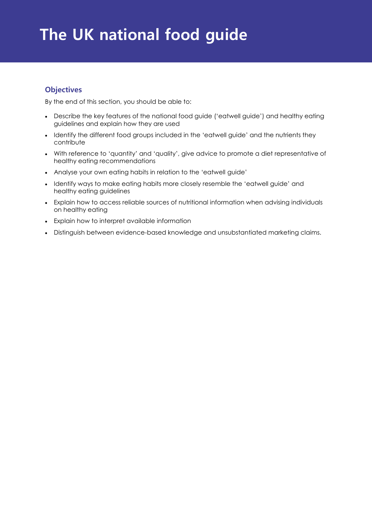# **The UK national food guide**

## **Objectives**

By the end of this section, you should be able to:

- Describe the key features of the national food guide ('eatwell guide') and healthy eating guidelines and explain how they are used
- Identify the different food groups included in the 'eatwell guide' and the nutrients they contribute
- With reference to 'quantity' and 'quality', give advice to promote a diet representative of healthy eating recommendations
- Analyse your own eating habits in relation to the 'eatwell guide'
- Identify ways to make eating habits more closely resemble the 'eatwell guide' and healthy eating guidelines
- Explain how to access reliable sources of nutritional information when advising individuals on healthy eating
- Explain how to interpret available information
- Distinguish between evidence-based knowledge and unsubstantiated marketing claims.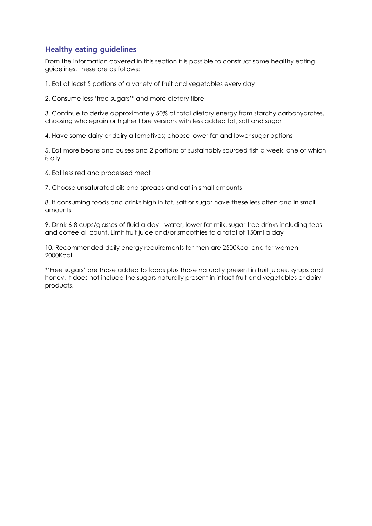## **Healthy eating guidelines**

From the information covered in this section it is possible to construct some healthy eating guidelines. These are as follows:

1. Eat at least 5 portions of a variety of fruit and vegetables every day

2. Consume less 'free sugars'\* and more dietary fibre

3. Continue to derive approximately 50% of total dietary energy from starchy carbohydrates, choosing wholegrain or higher fibre versions with less added fat, salt and sugar

4. Have some dairy or dairy alternatives; choose lower fat and lower sugar options

5. Eat more beans and pulses and 2 portions of sustainably sourced fish a week, one of which is oily

6. Eat less red and processed meat

7. Choose unsaturated oils and spreads and eat in small amounts

8. If consuming foods and drinks high in fat, salt or sugar have these less often and in small amounts

9. Drink 6-8 cups/glasses of fluid a day - water, lower fat milk, sugar-free drinks including teas and coffee all count. Limit fruit juice and/or smoothies to a total of 150ml a day

10. Recommended daily energy requirements for men are 2500Kcal and for women 2000Kcal

\*'Free sugars' are those added to foods plus those naturally present in fruit juices, syrups and honey. It does not include the sugars naturally present in intact fruit and vegetables or dairy products.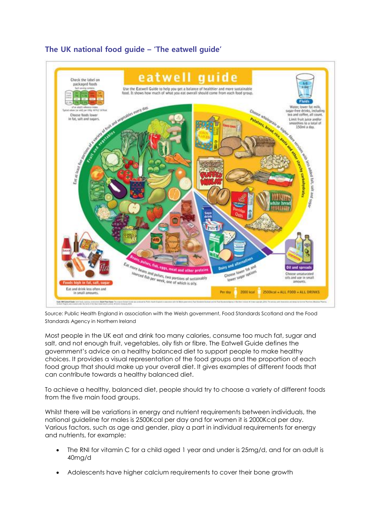## **The UK national food guide – 'The eatwell guide'**



Source: Public Health England in association with the Welsh government, Food Standards Scotland and the Food Standards Agency in Northern Ireland

Most people in the UK eat and drink too many calories, consume too much fat, sugar and salt, and not enough fruit, vegetables, oily fish or fibre. The Eatwell Guide defines the government's advice on a healthy balanced diet to support people to make healthy choices. It provides a visual representation of the food groups and the proportion of each food group that should make up your overall diet. It gives examples of different foods that can contribute towards a healthy balanced diet.

To achieve a healthy, balanced diet, people should try to choose a variety of different foods from the five main food groups.

Whilst there will be variations in energy and nutrient requirements between individuals, the national guideline for males is 2500Kcal per day and for women it is 2000Kcal per day. Various factors, such as age and gender, play a part in individual requirements for energy and nutrients, for example:

- The RNI for vitamin C for a child aged 1 year and under is 25mg/d, and for an adult is 40mg/d
- Adolescents have higher calcium requirements to cover their bone growth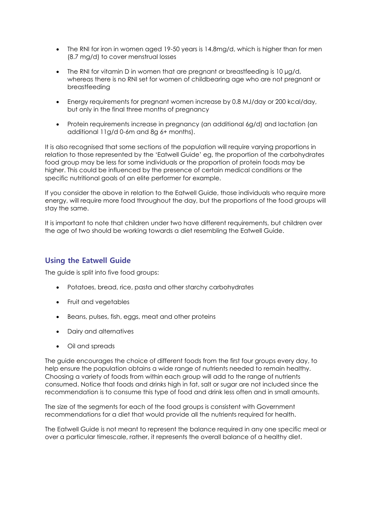- The RNI for iron in women aged 19-50 years is 14.8mg/d, which is higher than for men (8.7 mg/d) to cover menstrual losses
- The RNI for vitamin D in women that are pregnant or breastfeeding is 10  $\mu$ g/d, whereas there is no RNI set for women of childbearing age who are not pregnant or breastfeeding
- Energy requirements for pregnant women increase by 0.8 MJ/day or 200 kcal/day, but only in the final three months of pregnancy
- Protein requirements increase in pregnancy (an additional 6g/d) and lactation (an additional 11g/d 0-6m and 8g 6+ months).

It is also recognised that some sections of the population will require varying proportions in relation to those represented by the 'Eatwell Guide' eg, the proportion of the carbohydrates food group may be less for some individuals or the proportion of protein foods may be higher. This could be influenced by the presence of certain medical conditions or the specific nutritional goals of an elite performer for example.

If you consider the above in relation to the Eatwell Guide, those individuals who require more energy, will require more food throughout the day, but the proportions of the food groups will stay the same.

It is important to note that children under two have different requirements, but children over the age of two should be working towards a diet resembling the Eatwell Guide.

### **Using the Eatwell Guide**

The guide is split into five food groups:

- Potatoes, bread, rice, pasta and other starchy carbohydrates
- Fruit and vegetables
- Beans, pulses, fish, eggs, meat and other proteins
- Dairy and alternatives
- Oil and spreads

The guide encourages the choice of different foods from the first four groups every day, to help ensure the population obtains a wide range of nutrients needed to remain healthy. Choosing a variety of foods from within each group will add to the range of nutrients consumed. Notice that foods and drinks high in fat, salt or sugar are not included since the recommendation is to consume this type of food and drink less often and in small amounts.

The size of the segments for each of the food groups is consistent with Government recommendations for a diet that would provide all the nutrients required for health.

The Eatwell Guide is not meant to represent the balance required in any one specific meal or over a particular timescale, rather, it represents the overall balance of a healthy diet.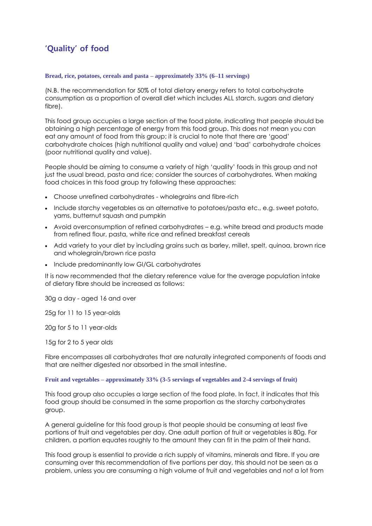# **'Quality' of food**

#### **Bread, rice, potatoes, cereals and pasta – approximately 33% (6–11 servings)**

(N.B. the recommendation for 50% of total dietary energy refers to total carbohydrate consumption as a proportion of overall diet which includes ALL starch, sugars and dietary fibre).

This food group occupies a large section of the food plate, indicating that people should be obtaining a high percentage of energy from this food group. This does not mean you can eat any amount of food from this group; it is crucial to note that there are 'good' carbohydrate choices (high nutritional quality and value) and 'bad' carbohydrate choices (poor nutritional quality and value).

People should be aiming to consume a variety of high 'quality' foods in this group and not just the usual bread, pasta and rice; consider the sources of carbohydrates. When making food choices in this food group try following these approaches:

- Choose unrefined carbohydrates wholegrains and fibre-rich
- Include starchy vegetables as an alternative to potatoes/pasta etc., e.g. sweet potato, yams, butternut squash and pumpkin
- Avoid overconsumption of refined carbohydrates e.g. white bread and products made from refined flour, pasta, white rice and refined breakfast cereals
- Add variety to your diet by including grains such as barley, millet, spelt, quinoa, brown rice and wholegrain/brown rice pasta
- Include predominantly low GI/GL carbohydrates

It is now recommended that the dietary reference value for the average population intake of dietary fibre should be increased as follows:

30g a day - aged 16 and over

25g for 11 to 15 year-olds

20g for 5 to 11 year-olds

15g for 2 to 5 year olds

Fibre encompasses all carbohydrates that are naturally integrated components of foods and that are neither digested nor absorbed in the small intestine.

#### **Fruit and vegetables – approximately 33% (3-5 servings of vegetables and 2-4 servings of fruit)**

This food group also occupies a large section of the food plate. In fact, it indicates that this food group should be consumed in the same proportion as the starchy carbohydrates group.

A general guideline for this food group is that people should be consuming at least five portions of fruit and vegetables per day. One adult portion of fruit or vegetables is 80g. For children, a portion equates roughly to the amount they can fit in the palm of their hand.

This food group is essential to provide a rich supply of vitamins, minerals and fibre. If you are consuming over this recommendation of five portions per day, this should not be seen as a problem, unless you are consuming a high volume of fruit and vegetables and not a lot from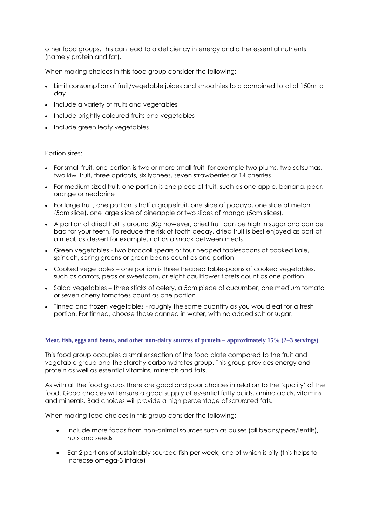other food groups. This can lead to a deficiency in energy and other essential nutrients (namely protein and fat).

When making choices in this food group consider the following:

- Limit consumption of fruit/vegetable juices and smoothies to a combined total of 150ml a day
- Include a variety of fruits and vegetables
- Include brightly coloured fruits and vegetables
- Include green leafy vegetables

#### Portion sizes:

- For small fruit, one portion is two or more small fruit, for example two plums, two satsumas, two kiwi fruit, three apricots, six lychees, seven strawberries or 14 cherries
- For medium sized fruit, one portion is one piece of fruit, such as one apple, banana, pear, orange or nectarine
- For large fruit, one portion is half a grapefruit, one slice of papaya, one slice of melon (5cm slice), one large slice of pineapple or two slices of mango (5cm slices).
- A portion of dried fruit is around 30g however, dried fruit can be high in sugar and can be bad for your teeth. To reduce the risk of tooth decay, dried fruit is best enjoyed as part of a meal, as dessert for example, not as a snack between meals
- Green vegetables two broccoli spears or four heaped tablespoons of cooked kale, spinach, spring greens or green beans count as one portion
- Cooked vegetables one portion is three heaped tablespoons of cooked vegetables, such as carrots, peas or sweetcorn, or eight cauliflower florets count as one portion
- Salad vegetables three sticks of celery, a 5cm piece of cucumber, one medium tomato or seven cherry tomatoes count as one portion
- Tinned and frozen vegetables roughly the same quantity as you would eat for a fresh portion. For tinned, choose those canned in water, with no added salt or sugar.

#### **Meat, fish, eggs and beans, and other non-dairy sources of protein – approximately 15% (2–3 servings)**

This food group occupies a smaller section of the food plate compared to the fruit and vegetable group and the starchy carbohydrates group. This group provides energy and protein as well as essential vitamins, minerals and fats.

As with all the food groups there are good and poor choices in relation to the 'quality' of the food. Good choices will ensure a good supply of essential fatty acids, amino acids, vitamins and minerals. Bad choices will provide a high percentage of saturated fats.

When making food choices in this group consider the following:

- Include more foods from non-animal sources such as pulses (all beans/peas/lentils), nuts and seeds
- Eat 2 portions of sustainably sourced fish per week, one of which is oily (this helps to increase omega-3 intake)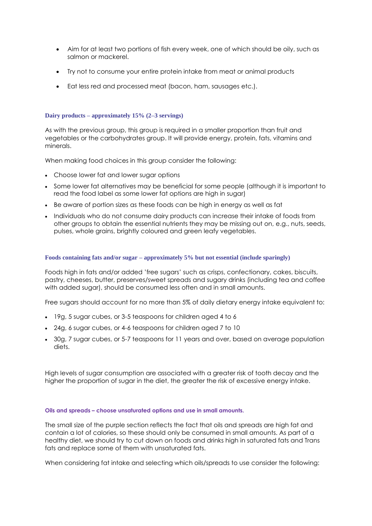- Aim for at least two portions of fish every week, one of which should be oily, such as salmon or mackerel.
- Try not to consume your entire protein intake from meat or animal products
- Eat less red and processed meat (bacon, ham, sausages etc.).

#### **Dairy products – approximately 15% (2–3 servings)**

As with the previous group, this group is required in a smaller proportion than fruit and vegetables or the carbohydrates group. It will provide energy, protein, fats, vitamins and minerals.

When making food choices in this group consider the following:

- Choose lower fat and lower sugar options
- Some lower fat alternatives may be beneficial for some people (although it is important to read the food label as some lower fat options are high in sugar)
- Be aware of portion sizes as these foods can be high in energy as well as fat
- Individuals who do not consume dairy products can increase their intake of foods from other groups to obtain the essential nutrients they may be missing out on, e.g., nuts, seeds, pulses, whole grains, brightly coloured and green leafy vegetables.

#### **Foods containing fats and/or sugar – approximately 5% but not essential (include sparingly)**

Foods high in fats and/or added 'free sugars' such as crisps, confectionary, cakes, biscuits, pastry, cheeses, butter, preserves/sweet spreads and sugary drinks (including tea and coffee with added sugar), should be consumed less often and in small amounts.

Free sugars should account for no more than 5% of daily dietary energy intake equivalent to:

- 19g, 5 sugar cubes, or 3-5 teaspoons for children aged 4 to 6
- 24g, 6 sugar cubes, or 4-6 teaspoons for children aged 7 to 10
- 30g, 7 sugar cubes, or 5-7 teaspoons for 11 years and over, based on average population diets.

High levels of sugar consumption are associated with a greater risk of tooth decay and the higher the proportion of sugar in the diet, the greater the risk of excessive energy intake.

#### **Oils and spreads – choose unsaturated options and use in small amounts.**

The small size of the purple section reflects the fact that oils and spreads are high fat and contain a lot of calories, so these should only be consumed in small amounts. As part of a healthy diet, we should try to cut down on foods and drinks high in saturated fats and Trans fats and replace some of them with unsaturated fats.

When considering fat intake and selecting which oils/spreads to use consider the following: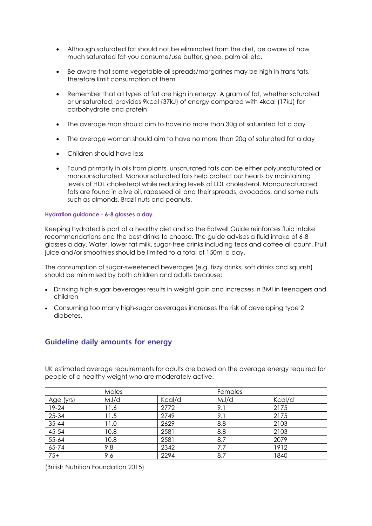- Although saturated fat should not be eliminated from the diet, be aware of how much saturated fat you consume/use butter, ghee, palm oil etc.
- Be aware that some vegetable oil spreads/margarines may be high in trans fats, therefore limit consumption of them
- Remember that all types of fat are high in energy. A gram of fat, whether saturated or unsaturated, provides 9kcal (37kJ) of energy compared with 4kcal (17kJ) for carbohydrate and protein
- The average man should aim to have no more than 30g of saturated fat a day
- The average woman should aim to have no more than 20g of saturated fat a day
- Children should have less
- Found primarily in oils from plants, unsaturated fats can be either polyunsaturated or monounsaturated. Monounsaturated fats help protect our hearts by maintaining levels of HDL cholesterol while reducing levels of LDL cholesterol. Monounsaturated fats are found in olive oil, rapeseed oil and their spreads, avocados, and some nuts such as almonds, Brazil nuts and peanuts.

#### **Hydration guidance - 6-8 glasses a day.**

Keeping hydrated is part of a healthy diet and so the Eatwell Guide reinforces fluid intake recommendations and the best drinks to choose. The guide advises a fluid intake of 6-8 glasses a day. Water, lower fat milk, sugar-free drinks including teas and coffee all count. Fruit juice and/or smoothies should be limited to a total of 150ml a day.

The consumption of sugar-sweetened beverages (e.g. fizzy drinks, soft drinks and squash) should be minimised by both children and adults because:

- Drinking high-sugar beverages results in weight gain and increases in BMI in teenagers and children
- Consuming too many high-sugar beverages increases the risk of developing type 2 diabetes.

## **Guideline daily amounts for energy**

UK estimated average requirements for adults are based on the average energy required for people of a healthy weight who are moderately active.

|           | Males |        | Females |        |
|-----------|-------|--------|---------|--------|
| Age (yrs) | MJ/d  | Kcal/d | MJ/d    | Kcal/d |
| 19-24     | 11.6  | 2772   | 9.1     | 2175   |
| 25-34     | 11.5  | 2749   | 9.1     | 2175   |
| $35 - 44$ | 11.0  | 2629   | 8.8     | 2103   |
| 45-54     | 10.8  | 2581   | 8.8     | 2103   |
| $55 - 64$ | 10.8  | 2581   | 8.7     | 2079   |
| 65-74     | 9.8   | 2342   | 7.7     | 1912   |
| $75+$     | 9.6   | 2294   | 8.7     | 1840   |

(British Nutrition Foundation 2015)